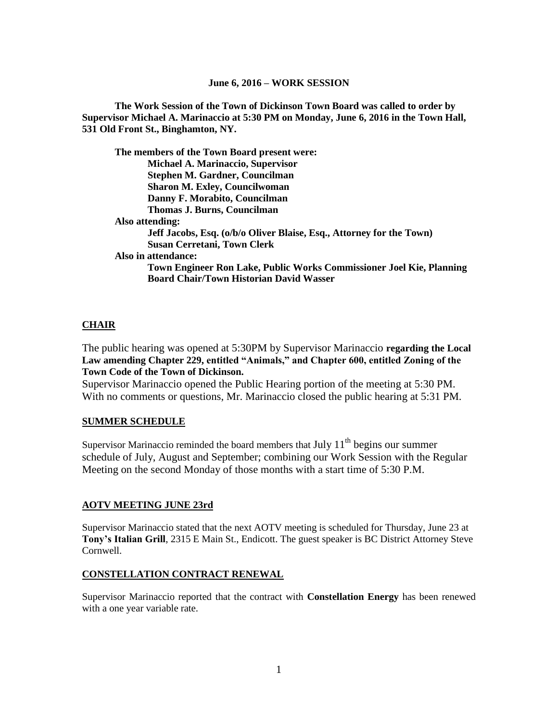**The Work Session of the Town of Dickinson Town Board was called to order by Supervisor Michael A. Marinaccio at 5:30 PM on Monday, June 6, 2016 in the Town Hall, 531 Old Front St., Binghamton, NY.**

| The members of the Town Board present were:                          |  |
|----------------------------------------------------------------------|--|
| <b>Michael A. Marinaccio, Supervisor</b>                             |  |
| Stephen M. Gardner, Councilman                                       |  |
| <b>Sharon M. Exley, Councilwoman</b>                                 |  |
| Danny F. Morabito, Councilman                                        |  |
| Thomas J. Burns, Councilman                                          |  |
| Also attending:                                                      |  |
| Jeff Jacobs, Esq. (o/b/o Oliver Blaise, Esq., Attorney for the Town) |  |
| <b>Susan Cerretani, Town Clerk</b>                                   |  |
| Also in attendance:                                                  |  |
| Town Engineer Ron Lake, Public Works Commissioner Joel Kie, Planning |  |
| <b>Board Chair/Town Historian David Wasser</b>                       |  |

## **CHAIR**

The public hearing was opened at 5:30PM by Supervisor Marinaccio **regarding the Local Law amending Chapter 229, entitled "Animals," and Chapter 600, entitled Zoning of the Town Code of the Town of Dickinson.**

Supervisor Marinaccio opened the Public Hearing portion of the meeting at 5:30 PM. With no comments or questions, Mr. Marinaccio closed the public hearing at 5:31 PM.

#### **SUMMER SCHEDULE**

Supervisor Marinaccio reminded the board members that July  $11<sup>th</sup>$  begins our summer schedule of July, August and September; combining our Work Session with the Regular Meeting on the second Monday of those months with a start time of 5:30 P.M.

#### **AOTV MEETING JUNE 23rd**

Supervisor Marinaccio stated that the next AOTV meeting is scheduled for Thursday, June 23 at **Tony's Italian Grill**, 2315 E Main St., Endicott. The guest speaker is BC District Attorney Steve Cornwell.

#### **CONSTELLATION CONTRACT RENEWAL**

Supervisor Marinaccio reported that the contract with **Constellation Energy** has been renewed with a one year variable rate.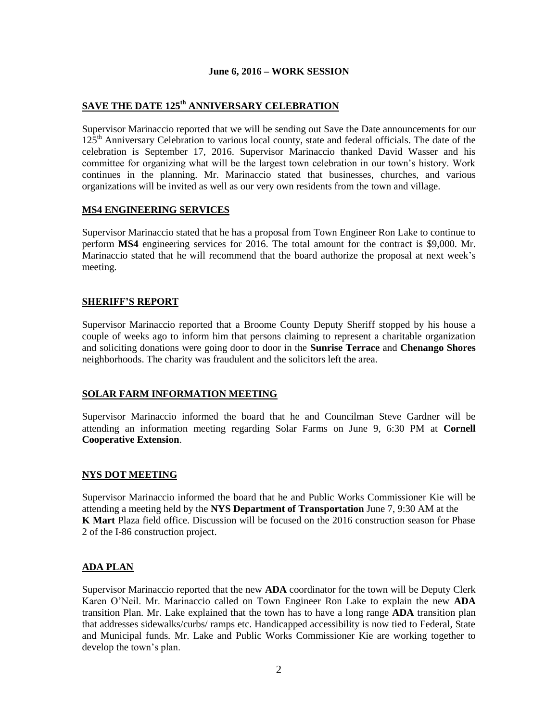# **SAVE THE DATE 125th ANNIVERSARY CELEBRATION**

Supervisor Marinaccio reported that we will be sending out Save the Date announcements for our 125<sup>th</sup> Anniversary Celebration to various local county, state and federal officials. The date of the celebration is September 17, 2016. Supervisor Marinaccio thanked David Wasser and his committee for organizing what will be the largest town celebration in our town's history. Work continues in the planning. Mr. Marinaccio stated that businesses, churches, and various organizations will be invited as well as our very own residents from the town and village.

## **MS4 ENGINEERING SERVICES**

Supervisor Marinaccio stated that he has a proposal from Town Engineer Ron Lake to continue to perform **MS4** engineering services for 2016. The total amount for the contract is \$9,000. Mr. Marinaccio stated that he will recommend that the board authorize the proposal at next week's meeting.

#### **SHERIFF'S REPORT**

Supervisor Marinaccio reported that a Broome County Deputy Sheriff stopped by his house a couple of weeks ago to inform him that persons claiming to represent a charitable organization and soliciting donations were going door to door in the **Sunrise Terrace** and **Chenango Shores** neighborhoods. The charity was fraudulent and the solicitors left the area.

#### **SOLAR FARM INFORMATION MEETING**

Supervisor Marinaccio informed the board that he and Councilman Steve Gardner will be attending an information meeting regarding Solar Farms on June 9, 6:30 PM at **Cornell Cooperative Extension**.

#### **NYS DOT MEETING**

Supervisor Marinaccio informed the board that he and Public Works Commissioner Kie will be attending a meeting held by the **NYS Department of Transportation** June 7, 9:30 AM at the **K Mart** Plaza field office. Discussion will be focused on the 2016 construction season for Phase 2 of the I-86 construction project.

## **ADA PLAN**

Supervisor Marinaccio reported that the new **ADA** coordinator for the town will be Deputy Clerk Karen O'Neil. Mr. Marinaccio called on Town Engineer Ron Lake to explain the new **ADA** transition Plan. Mr. Lake explained that the town has to have a long range **ADA** transition plan that addresses sidewalks/curbs/ ramps etc. Handicapped accessibility is now tied to Federal, State and Municipal funds. Mr. Lake and Public Works Commissioner Kie are working together to develop the town's plan.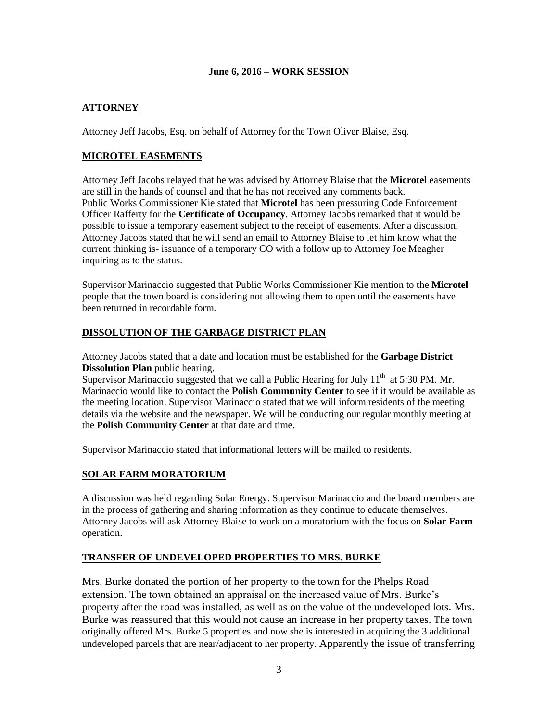# **ATTORNEY**

Attorney Jeff Jacobs, Esq. on behalf of Attorney for the Town Oliver Blaise, Esq.

## **MICROTEL EASEMENTS**

Attorney Jeff Jacobs relayed that he was advised by Attorney Blaise that the **Microtel** easements are still in the hands of counsel and that he has not received any comments back. Public Works Commissioner Kie stated that **Microtel** has been pressuring Code Enforcement Officer Rafferty for the **Certificate of Occupancy**. Attorney Jacobs remarked that it would be possible to issue a temporary easement subject to the receipt of easements. After a discussion, Attorney Jacobs stated that he will send an email to Attorney Blaise to let him know what the current thinking is- issuance of a temporary CO with a follow up to Attorney Joe Meagher inquiring as to the status.

Supervisor Marinaccio suggested that Public Works Commissioner Kie mention to the **Microtel** people that the town board is considering not allowing them to open until the easements have been returned in recordable form.

## **DISSOLUTION OF THE GARBAGE DISTRICT PLAN**

Attorney Jacobs stated that a date and location must be established for the **Garbage District Dissolution Plan** public hearing.

Supervisor Marinaccio suggested that we call a Public Hearing for July  $11<sup>th</sup>$  at 5:30 PM. Mr. Marinaccio would like to contact the **Polish Community Center** to see if it would be available as the meeting location. Supervisor Marinaccio stated that we will inform residents of the meeting details via the website and the newspaper. We will be conducting our regular monthly meeting at the **Polish Community Center** at that date and time.

Supervisor Marinaccio stated that informational letters will be mailed to residents.

# **SOLAR FARM MORATORIUM**

A discussion was held regarding Solar Energy. Supervisor Marinaccio and the board members are in the process of gathering and sharing information as they continue to educate themselves. Attorney Jacobs will ask Attorney Blaise to work on a moratorium with the focus on **Solar Farm** operation.

## **TRANSFER OF UNDEVELOPED PROPERTIES TO MRS. BURKE**

Mrs. Burke donated the portion of her property to the town for the Phelps Road extension. The town obtained an appraisal on the increased value of Mrs. Burke's property after the road was installed, as well as on the value of the undeveloped lots. Mrs. Burke was reassured that this would not cause an increase in her property taxes. The town originally offered Mrs. Burke 5 properties and now she is interested in acquiring the 3 additional undeveloped parcels that are near/adjacent to her property. Apparently the issue of transferring